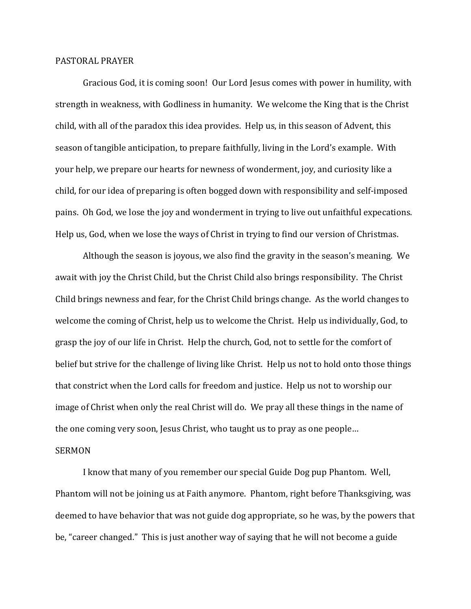## PASTORAL PRAYER

 Gracious God, it is coming soon! Our Lord Jesus comes with power in humility, with strength in weakness, with Godliness in humanity. We welcome the King that is the Christ child, with all of the paradox this idea provides. Help us, in this season of Advent, this season of tangible anticipation, to prepare faithfully, living in the Lord's example. With your help, we prepare our hearts for newness of wonderment, joy, and curiosity like a child, for our idea of preparing is often bogged down with responsibility and self-imposed pains. Oh God, we lose the joy and wonderment in trying to live out unfaithful expecations. Help us, God, when we lose the ways of Christ in trying to find our version of Christmas.

 Although the season is joyous, we also find the gravity in the season's meaning. We await with joy the Christ Child, but the Christ Child also brings responsibility. The Christ Child brings newness and fear, for the Christ Child brings change. As the world changes to welcome the coming of Christ, help us to welcome the Christ. Help us individually, God, to grasp the joy of our life in Christ. Help the church, God, not to settle for the comfort of belief but strive for the challenge of living like Christ. Help us not to hold onto those things that constrict when the Lord calls for freedom and justice. Help us not to worship our image of Christ when only the real Christ will do. We pray all these things in the name of the one coming very soon, Jesus Christ, who taught us to pray as one people… SERMON

 I know that many of you remember our special Guide Dog pup Phantom. Well, Phantom will not be joining us at Faith anymore. Phantom, right before Thanksgiving, was deemed to have behavior that was not guide dog appropriate, so he was, by the powers that be, "career changed." This is just another way of saying that he will not become a guide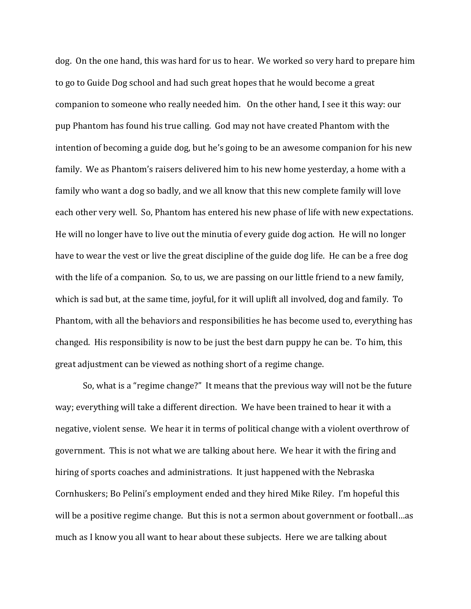dog. On the one hand, this was hard for us to hear. We worked so very hard to prepare him to go to Guide Dog school and had such great hopes that he would become a great companion to someone who really needed him. On the other hand, I see it this way: our pup Phantom has found his true calling. God may not have created Phantom with the intention of becoming a guide dog, but he's going to be an awesome companion for his new family. We as Phantom's raisers delivered him to his new home yesterday, a home with a family who want a dog so badly, and we all know that this new complete family will love each other very well. So, Phantom has entered his new phase of life with new expectations. He will no longer have to live out the minutia of every guide dog action. He will no longer have to wear the vest or live the great discipline of the guide dog life. He can be a free dog with the life of a companion. So, to us, we are passing on our little friend to a new family, which is sad but, at the same time, joyful, for it will uplift all involved, dog and family. To Phantom, with all the behaviors and responsibilities he has become used to, everything has changed. His responsibility is now to be just the best darn puppy he can be. To him, this great adjustment can be viewed as nothing short of a regime change.

 So, what is a "regime change?" It means that the previous way will not be the future way; everything will take a different direction. We have been trained to hear it with a negative, violent sense. We hear it in terms of political change with a violent overthrow of government. This is not what we are talking about here. We hear it with the firing and hiring of sports coaches and administrations. It just happened with the Nebraska Cornhuskers; Bo Pelini's employment ended and they hired Mike Riley. I'm hopeful this will be a positive regime change. But this is not a sermon about government or football…as much as I know you all want to hear about these subjects. Here we are talking about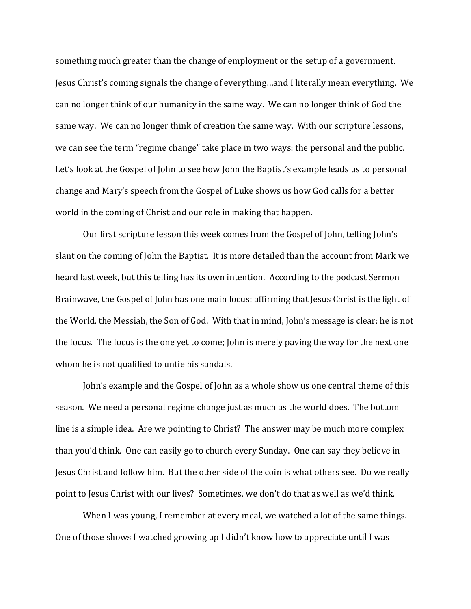something much greater than the change of employment or the setup of a government. Jesus Christ's coming signals the change of everything…and I literally mean everything. We can no longer think of our humanity in the same way. We can no longer think of God the same way. We can no longer think of creation the same way. With our scripture lessons, we can see the term "regime change" take place in two ways: the personal and the public. Let's look at the Gospel of John to see how John the Baptist's example leads us to personal change and Mary's speech from the Gospel of Luke shows us how God calls for a better world in the coming of Christ and our role in making that happen.

 Our first scripture lesson this week comes from the Gospel of John, telling John's slant on the coming of John the Baptist. It is more detailed than the account from Mark we heard last week, but this telling has its own intention. According to the podcast Sermon Brainwave, the Gospel of John has one main focus: affirming that Jesus Christ is the light of the World, the Messiah, the Son of God. With that in mind, John's message is clear: he is not the focus. The focus is the one yet to come; John is merely paving the way for the next one whom he is not qualified to untie his sandals.

 John's example and the Gospel of John as a whole show us one central theme of this season. We need a personal regime change just as much as the world does. The bottom line is a simple idea. Are we pointing to Christ? The answer may be much more complex than you'd think. One can easily go to church every Sunday. One can say they believe in Jesus Christ and follow him. But the other side of the coin is what others see. Do we really point to Jesus Christ with our lives? Sometimes, we don't do that as well as we'd think.

 When I was young, I remember at every meal, we watched a lot of the same things. One of those shows I watched growing up I didn't know how to appreciate until I was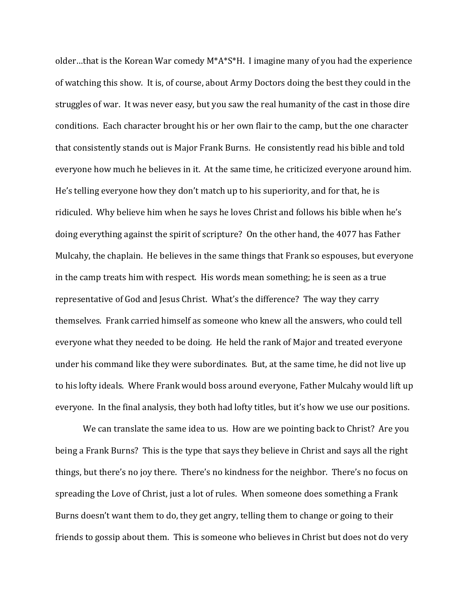older…that is the Korean War comedy M\*A\*S\*H. I imagine many of you had the experience of watching this show. It is, of course, about Army Doctors doing the best they could in the struggles of war. It was never easy, but you saw the real humanity of the cast in those dire conditions. Each character brought his or her own flair to the camp, but the one character that consistently stands out is Major Frank Burns. He consistently read his bible and told everyone how much he believes in it. At the same time, he criticized everyone around him. He's telling everyone how they don't match up to his superiority, and for that, he is ridiculed. Why believe him when he says he loves Christ and follows his bible when he's doing everything against the spirit of scripture? On the other hand, the 4077 has Father Mulcahy, the chaplain. He believes in the same things that Frank so espouses, but everyone in the camp treats him with respect. His words mean something; he is seen as a true representative of God and Jesus Christ. What's the difference? The way they carry themselves. Frank carried himself as someone who knew all the answers, who could tell everyone what they needed to be doing. He held the rank of Major and treated everyone under his command like they were subordinates. But, at the same time, he did not live up to his lofty ideals. Where Frank would boss around everyone, Father Mulcahy would lift up everyone. In the final analysis, they both had lofty titles, but it's how we use our positions.

We can translate the same idea to us. How are we pointing back to Christ? Are you being a Frank Burns? This is the type that says they believe in Christ and says all the right things, but there's no joy there. There's no kindness for the neighbor. There's no focus on spreading the Love of Christ, just a lot of rules. When someone does something a Frank Burns doesn't want them to do, they get angry, telling them to change or going to their friends to gossip about them. This is someone who believes in Christ but does not do very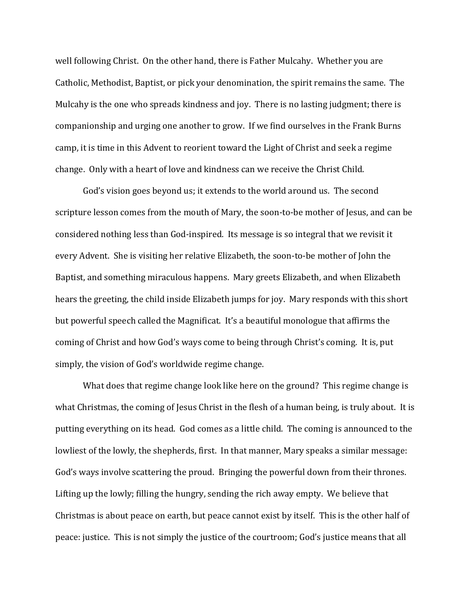well following Christ. On the other hand, there is Father Mulcahy. Whether you are Catholic, Methodist, Baptist, or pick your denomination, the spirit remains the same. The Mulcahy is the one who spreads kindness and joy. There is no lasting judgment; there is companionship and urging one another to grow. If we find ourselves in the Frank Burns camp, it is time in this Advent to reorient toward the Light of Christ and seek a regime change. Only with a heart of love and kindness can we receive the Christ Child.

 God's vision goes beyond us; it extends to the world around us. The second scripture lesson comes from the mouth of Mary, the soon-to-be mother of Jesus, and can be considered nothing less than God-inspired. Its message is so integral that we revisit it every Advent. She is visiting her relative Elizabeth, the soon-to-be mother of John the Baptist, and something miraculous happens. Mary greets Elizabeth, and when Elizabeth hears the greeting, the child inside Elizabeth jumps for joy. Mary responds with this short but powerful speech called the Magnificat. It's a beautiful monologue that affirms the coming of Christ and how God's ways come to being through Christ's coming. It is, put simply, the vision of God's worldwide regime change.

 What does that regime change look like here on the ground? This regime change is what Christmas, the coming of Jesus Christ in the flesh of a human being, is truly about. It is putting everything on its head. God comes as a little child. The coming is announced to the lowliest of the lowly, the shepherds, first. In that manner, Mary speaks a similar message: God's ways involve scattering the proud. Bringing the powerful down from their thrones. Lifting up the lowly; filling the hungry, sending the rich away empty. We believe that Christmas is about peace on earth, but peace cannot exist by itself. This is the other half of peace: justice. This is not simply the justice of the courtroom; God's justice means that all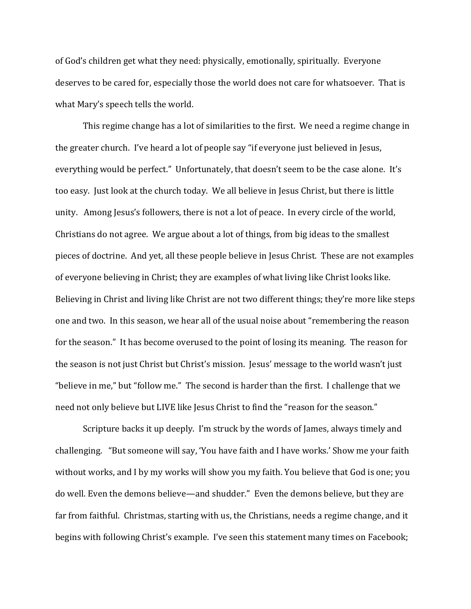of God's children get what they need: physically, emotionally, spiritually. Everyone deserves to be cared for, especially those the world does not care for whatsoever. That is what Mary's speech tells the world.

This regime change has a lot of similarities to the first. We need a regime change in the greater church. I've heard a lot of people say "if everyone just believed in Jesus, everything would be perfect." Unfortunately, that doesn't seem to be the case alone. It's too easy. Just look at the church today. We all believe in Jesus Christ, but there is little unity. Among Jesus's followers, there is not a lot of peace. In every circle of the world, Christians do not agree. We argue about a lot of things, from big ideas to the smallest pieces of doctrine. And yet, all these people believe in Jesus Christ. These are not examples of everyone believing in Christ; they are examples of what living like Christ looks like. Believing in Christ and living like Christ are not two different things; they're more like steps one and two. In this season, we hear all of the usual noise about "remembering the reason for the season." It has become overused to the point of losing its meaning. The reason for the season is not just Christ but Christ's mission. Jesus' message to the world wasn't just "believe in me," but "follow me." The second is harder than the first. I challenge that we need not only believe but LIVE like Jesus Christ to find the "reason for the season."

Scripture backs it up deeply. I'm struck by the words of James, always timely and challenging. "But someone will say, 'You have faith and I have works.' Show me your faith without works, and I by my works will show you my faith. You believe that God is one; you do well. Even the demons believe—and shudder." Even the demons believe, but they are far from faithful. Christmas, starting with us, the Christians, needs a regime change, and it begins with following Christ's example. I've seen this statement many times on Facebook;